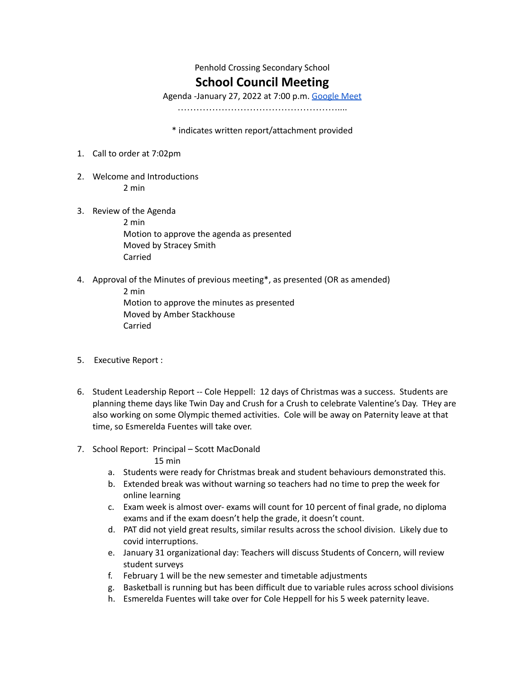Penhold Crossing Secondary School

## **School Council Meeting**

Agenda -January 27, 2022 at 7:00 p.m. [Google](https://meet.google.com/xcp-fpyp-rdq?hs=122&authuser=0) Meet

…………………………………………………………

\* indicates written report/attachment provided

- 1. Call to order at 7:02pm
- 2. Welcome and Introductions 2 min
- 3. Review of the Agenda

2 min Motion to approve the agenda as presented Moved by Stracey Smith Carried

4. Approval of the Minutes of previous meeting\*, as presented (OR as amended)

2 min

Motion to approve the minutes as presented Moved by Amber Stackhouse Carried

- 5. Executive Report :
- 6. Student Leadership Report -- Cole Heppell: 12 days of Christmas was a success. Students are planning theme days like Twin Day and Crush for a Crush to celebrate Valentine's Day. THey are also working on some Olympic themed activities. Cole will be away on Paternity leave at that time, so Esmerelda Fuentes will take over.
- 7. School Report: Principal Scott MacDonald

15 min

- a. Students were ready for Christmas break and student behaviours demonstrated this.
- b. Extended break was without warning so teachers had no time to prep the week for online learning
- c. Exam week is almost over- exams will count for 10 percent of final grade, no diploma exams and if the exam doesn't help the grade, it doesn't count.
- d. PAT did not yield great results, similar results across the school division. Likely due to covid interruptions.
- e. January 31 organizational day: Teachers will discuss Students of Concern, will review student surveys
- f. February 1 will be the new semester and timetable adjustments
- g. Basketball is running but has been difficult due to variable rules across school divisions
- h. Esmerelda Fuentes will take over for Cole Heppell for his 5 week paternity leave.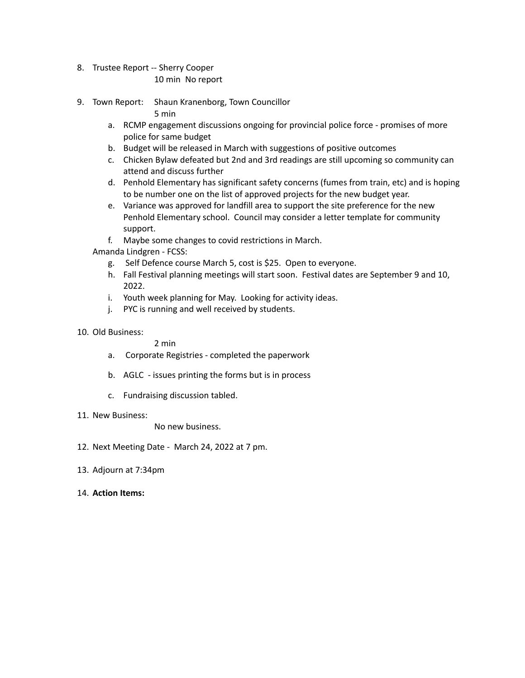8. Trustee Report -- Sherry Cooper

10 min No report

9. Town Report: Shaun Kranenborg, Town Councillor

5 min

- a. RCMP engagement discussions ongoing for provincial police force promises of more police for same budget
- b. Budget will be released in March with suggestions of positive outcomes
- c. Chicken Bylaw defeated but 2nd and 3rd readings are still upcoming so community can attend and discuss further
- d. Penhold Elementary has significant safety concerns (fumes from train, etc) and is hoping to be number one on the list of approved projects for the new budget year.
- e. Variance was approved for landfill area to support the site preference for the new Penhold Elementary school. Council may consider a letter template for community support.
- f. Maybe some changes to covid restrictions in March.
- Amanda Lindgren FCSS:
	- g. Self Defence course March 5, cost is \$25. Open to everyone.
	- h. Fall Festival planning meetings will start soon. Festival dates are September 9 and 10, 2022.
	- i. Youth week planning for May. Looking for activity ideas.
	- j. PYC is running and well received by students.
- 10. Old Business:

2 min

- a. Corporate Registries completed the paperwork
- b. AGLC issues printing the forms but is in process
- c. Fundraising discussion tabled.
- 11. New Business:

No new business.

- 12. Next Meeting Date March 24, 2022 at 7 pm.
- 13. Adjourn at 7:34pm
- 14. **Action Items:**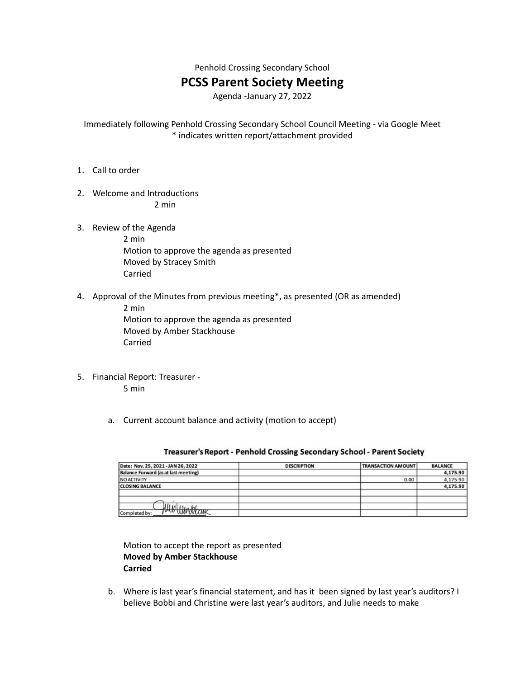Penhold Crossing Secondary School

## **PCSS Parent Society Meeting**

Agenda -Jan[uar](https://meet.google.com/gdp-pahy-vza?hs=122&authuser=0)y 27, 2022

Immediately following Penhold Crossing Secondary School Council Meeting - via Google Meet \* indicates written report/attachment provided

- 1. Call to order
- 2. Welcome and Introductions 2 min
- 3. Review of the Agenda

2 min Motion to approve the agenda as presented Moved by Stracey Smith Carried

- 4. Approval of the Minutes from previous meeting\*, as presented (OR as amended) 2 min Motion to approve the agenda as presented Moved by Amber Stackhouse Carried
- 5. Financial Report: Treasurer 5 min
	- a. Current account balance and activity (motion to accept)

| Date: Nov. 25, 2021 - JAN 26, 2022   | <b>DESCRIPTION</b> | <b>TRANSACTION AMOUNT</b> | <b>BALANCE</b> |
|--------------------------------------|--------------------|---------------------------|----------------|
| Balance Forward (as at last meeting) |                    |                           | 4,175.90       |
| <b>NO ACTIVITY</b>                   |                    | 0.00                      | 4,175.90       |
| <b>CLOSING BALANCE</b>               |                    |                           | 4,175.90       |
|                                      |                    |                           |                |
| <b>MACALITA</b><br>Completed by:     |                    |                           |                |

## Treasurer's Report - Penhold Crossing Secondary School - Parent Society

Motion to accept the report as presented **Moved by Amber Stackhouse Carried**

b. Where is last year's financial statement, and has it been signed by last year's auditors? I believe Bobbi and Christine were last year's auditors, and Julie needs to make